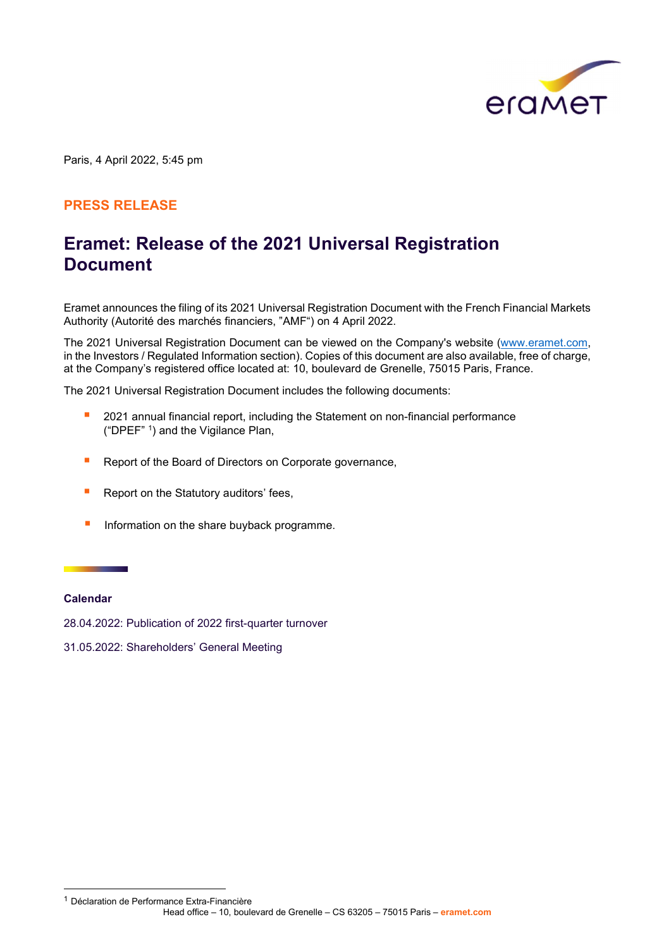

Paris, 4 April 2022, 5:45 pm

### PRESS RELEASE

## Eramet: Release of the 2021 Universal Registration **Document**

Eramet announces the filing of its 2021 Universal Registration Document with the French Financial Markets Authority (Autorité des marchés financiers, "AMF") on 4 April 2022.

The 2021 Universal Registration Document can be viewed on the Company's website (www.eramet.com, in the Investors / Regulated Information section). Copies of this document are also available, free of charge, at the Company's registered office located at: 10, boulevard de Grenelle, 75015 Paris, France.

The 2021 Universal Registration Document includes the following documents:

- **2021** annual financial report, including the Statement on non-financial performance ("DPEF" <sup>1</sup> ) and the Vigilance Plan,
- Report of the Board of Directors on Corporate governance,
- **Report on the Statutory auditors' fees,**
- **Information on the share buyback programme.**

#### Calendar

28.04.2022: Publication of 2022 first-quarter turnover

31.05.2022: Shareholders' General Meeting

<sup>1</sup> Déclaration de Performance Extra-Financière